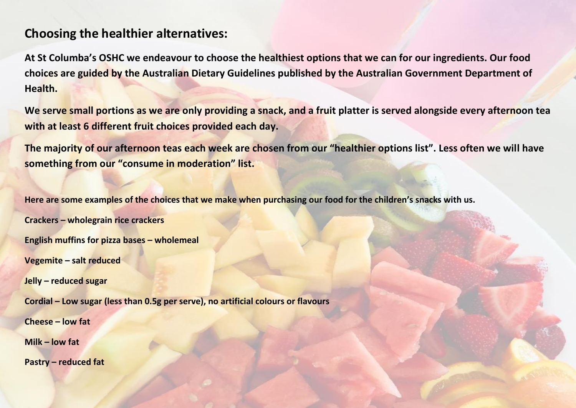## **Choosing the healthier alternatives:**

**At St Columba's OSHC we endeavour to choose the healthiest options that we can for our ingredients. Our food choices are guided by the Australian Dietary Guidelines published by the Australian Government Department of Health.** 

**We serve small portions as we are only providing a snack, and a fruit platter is served alongside every afternoon tea with at least 6 different fruit choices provided each day.**

**The majority of our afternoon teas each week are chosen from our "healthier options list". Less often we will have something from our "consume in moderation" list.**

**Here are some examples of the choices that we make when purchasing our food for the children's snacks with us.**

**Crackers – wholegrain rice crackers**

**English muffins for pizza bases – wholemeal** 

**Vegemite – salt reduced**

**Jelly – reduced sugar** 

**Cordial – Low sugar (less than 0.5g per serve), no artificial colours or flavours**

**Cheese – low fat** 

**Milk – low fat**

**Pastry – reduced fat**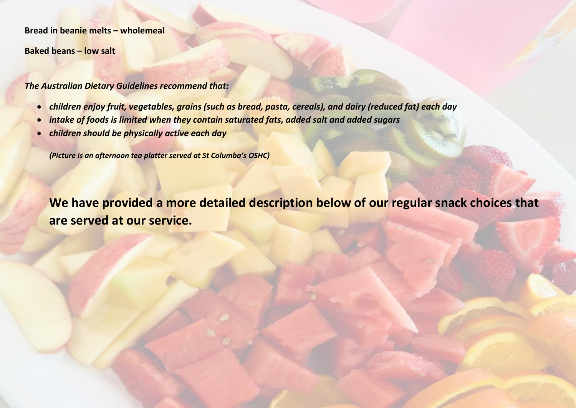**Bread in beanie melts – wholemeal**

**Baked beans – low salt**

*The Australian Dietary Guidelines recommend that:*

- *children enjoy fruit, vegetables, grains (such as bread, pasta, cereals), and dairy (reduced fat) each day*
- *intake of foods is limited when they contain saturated fats, added salt and added sugars*
- *children should be physically active each day*

*(Picture is an afternoon tea platter served at St Columba's OSHC)*

**We have provided a more detailed description below of our regular snack choices that are served at our service.**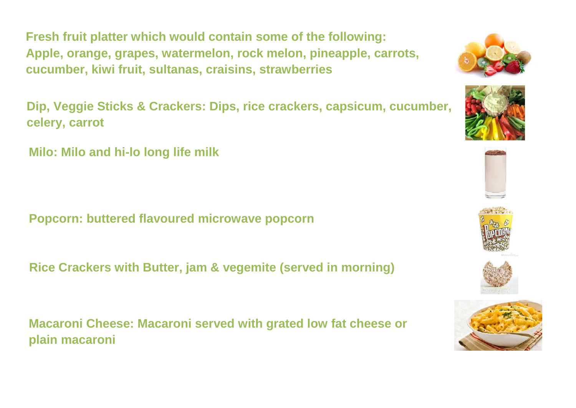**Fresh fruit platter which would contain some of the following: Apple, orange, grapes, watermelon, rock melon, pineapple, carrots, cucumber, kiwi fruit, sultanas, craisins, strawberries**

**Dip, Veggie Sticks & Crackers: Dips, rice crackers, capsicum, cucumber, celery, carrot**

**Milo: Milo and hi-lo long life milk**

**Popcorn: buttered flavoured microwave popcorn**

**Rice Crackers with Butter, jam & vegemite (served in morning)**

**Macaroni Cheese: Macaroni served with grated low fat cheese or plain macaroni**











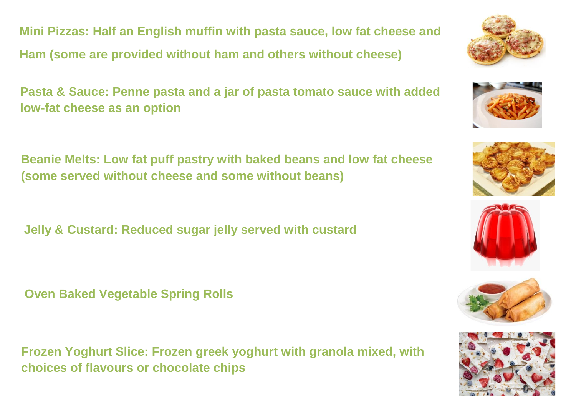**Mini Pizzas: Half an English muffin with pasta sauce, low fat cheese and Ham (some are provided without ham and others without cheese)**

**Pasta & Sauce: Penne pasta and a jar of pasta tomato sauce with added low-fat cheese as an option**

**Beanie Melts: Low fat puff pastry with baked beans and low fat cheese (some served without cheese and some without beans)**

**Jelly & Custard: Reduced sugar jelly served with custard**

**Oven Baked Vegetable Spring Rolls**

**Frozen Yoghurt Slice: Frozen greek yoghurt with granola mixed, with choices of flavours or chocolate chips**











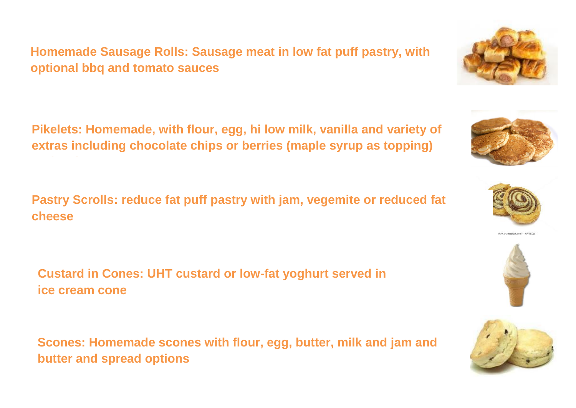**Homemade Sausage Rolls: Sausage meat in low fat puff pastry, with optional bbq and tomato sauces**

**Pikelets: Homemade, with flour, egg, hi low milk, vanilla and variety of extras including chocolate chips or berries (maple syrup as topping)**

**Pastry Scrolls: reduce fat puff pastry with jam, vegemite or reduced fat cheese**

**Custard in Cones: UHT custard or low-fat yoghurt served in ice cream cone**

**options)**

**Scones: Homemade scones with flour, egg, butter, milk and jam and butter and spread options**